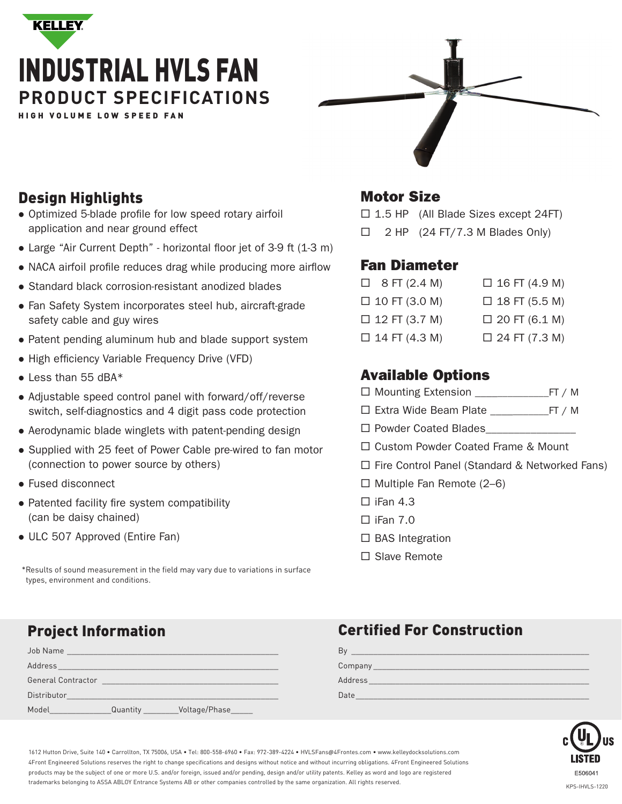



## Design Highlights

- Optimized 5-blade profile for low speed rotary airfoil application and near ground effect
- Large "Air Current Depth" horizontal floor jet of 3-9 ft (1-3 m)
- NACA airfoil profile reduces drag while producing more airflow
- Standard black corrosion-resistant anodized blades
- Fan Safety System incorporates steel hub, aircraft-grade safety cable and guy wires
- Patent pending aluminum hub and blade support system
- High efficiency Variable Frequency Drive (VFD)
- Less than 55 dBA\*
- Adjustable speed control panel with forward/off/reverse switch, self-diagnostics and 4 digit pass code protection
- Aerodynamic blade winglets with patent-pending design
- Supplied with 25 feet of Power Cable pre-wired to fan motor (connection to power source by others)
- Fused disconnect
- Patented facility fire system compatibility (can be daisy chained)
- ULC 507 Approved (Entire Fan)

\*Results of sound measurement in the field may vary due to variations in surface types, environment and conditions.

### Motor Size

 $\Box$  1.5 HP (All Blade Sizes except 24FT)

 $\Box$  2 HP (24 FT/7.3 M Blades Only)

### Fan Diameter

| $\Box$ 8 FT (2.4 M)  | $\Box$ 16 FT (4.9 M) |
|----------------------|----------------------|
| $\Box$ 10 FT (3.0 M) | $\Box$ 18 FT (5.5 M) |
| $\Box$ 12 FT (3.7 M) | $\Box$ 20 FT (6.1 M) |
| $\Box$ 14 FT (4.3 M) | $\Box$ 24 FT (7.3 M) |

## Available Options

- Mounting Extension \_\_\_\_\_\_\_\_\_\_\_\_\_\_FT / M
- Extra Wide Beam Plate \_\_\_\_\_\_\_\_\_\_\_FT / M
- $\Box$  Powder Coated Blades
- □ Custom Powder Coated Frame & Mount
- □ Fire Control Panel (Standard & Networked Fans)
- $\Box$  Multiple Fan Remote (2–6)
- $\Box$  iFan 4.3
- $\square$  iFan 7.0
- $\Box$  BAS Integration
- □ Slave Remote

| Job Name                  | <u> 1980 - Jan Barbara, mandat a shekara tsa na shekara tsa 1980 a tsa na shekara tsa 1980 a tsa 1980 a tsa 1980 a tsa 1980 a tsa 1980 a tsa 1980 a tsa 1980 a tsa 1980 a tsa 1980 a tsa 1980 a tsa 1980 a tsa 1980 a tsa 1980 a</u> |                |
|---------------------------|--------------------------------------------------------------------------------------------------------------------------------------------------------------------------------------------------------------------------------------|----------------|
| Address                   |                                                                                                                                                                                                                                      |                |
| <b>General Contractor</b> |                                                                                                                                                                                                                                      |                |
| Distributor               |                                                                                                                                                                                                                                      |                |
| Model                     | Quantity                                                                                                                                                                                                                             | Voltage/Phase_ |

## Project Information Certified For Construction

| B١      |  |
|---------|--|
| Company |  |
| Address |  |
| Date    |  |



1612 Hutton Drive, Suite 140 • Carrollton, TX 75006, USA • Tel: 800-558-6960 • Fax: 972-389-4224 • HVLSFans@4Frontes.com • www.kelleydocksolutions.com 4Front Engineered Solutions reserves the right to change specifications and designs without notice and without incurring obligations. 4Front Engineered Solutions products may be the subject of one or more U.S. and/or foreign, issued and/or pending, design and/or utility patents. Kelley as word and logo are registered trademarks belonging to ASSA ABLOY Entrance Systems AB or other companies controlled by the same organization. All rights reserved.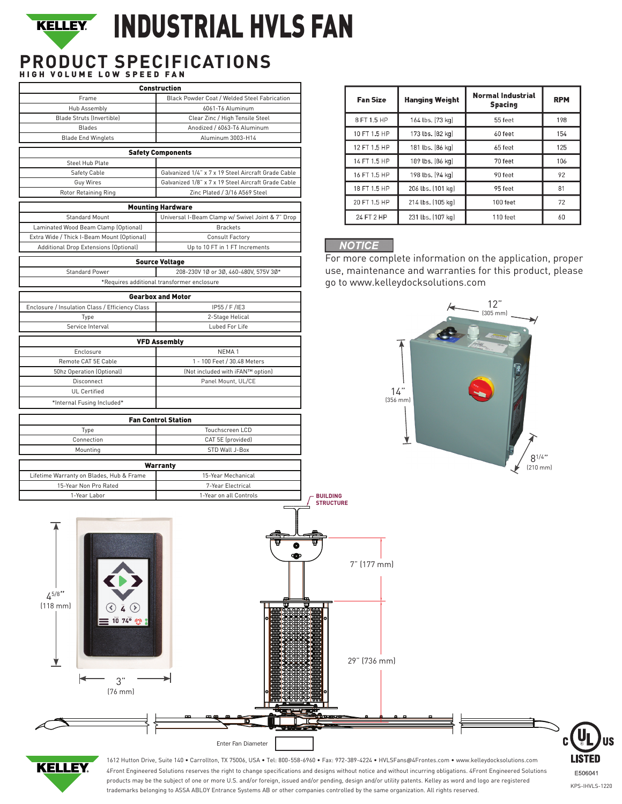## INDUSTRIAL HVLS FAN **KELLEY.**

# **PRODUCT SPECIFICATIONS** HIGH VOLUME LOW SPEED FAN

|                                                                       | <b>Construction</b>                                 |                                     |
|-----------------------------------------------------------------------|-----------------------------------------------------|-------------------------------------|
| Frame                                                                 | Black Powder Coat / Welded Steel Fabrication        | <b>Fan Size</b>                     |
| Hub Assembly                                                          | 6061-T6 Aluminum                                    |                                     |
| Blade Struts (Invertible)                                             | Clear Zinc / High Tensile Steel                     | 8 FT 1.5 HP                         |
| <b>Blades</b>                                                         | Anodized / 6063-T6 Aluminum                         |                                     |
| <b>Blade End Winglets</b>                                             | Aluminum 3003-H14                                   | 10 FT 1.5 HP                        |
|                                                                       |                                                     | 12 FT 1.5 HP                        |
|                                                                       | <b>Safety Components</b>                            | 14 FT 1.5 HP                        |
| Steel Hub Plate<br>Safety Cable                                       | Galvanized 1/4" x 7 x 19 Steel Aircraft Grade Cable |                                     |
| Guy Wires                                                             | Galvanized 1/8" x 7 x 19 Steel Aircraft Grade Cable | 16 FT 1.5 HP                        |
| Rotor Retaining Ring                                                  | Zinc Plated / 3/16 A569 Steel                       | 18 FT 1.5 HP                        |
|                                                                       |                                                     | 20 FT 1.5 HP                        |
|                                                                       | <b>Mounting Hardware</b>                            |                                     |
| Standard Mount                                                        | Universal I-Beam Clamp w/ Swivel Joint & 7" Drop    | 24 FT 2 HP                          |
| Laminated Wood Beam Clamp (Optional)                                  | <b>Brackets</b>                                     |                                     |
| Extra Wide / Thick I-Beam Mount (Optional)                            | <b>Consult Factory</b>                              |                                     |
| Additional Drop Extensions (Optional)                                 | Up to 10 FT in 1 FT Increments                      | <b>NOTICE</b>                       |
|                                                                       | <b>Source Voltage</b>                               | For more compl                      |
| <b>Standard Power</b>                                                 | 208-230V 1Ø or 3Ø, 460-480V, 575V 3Ø*               | use, maintenan                      |
|                                                                       | *Requires additional transformer enclosure          | go to www.kelle                     |
|                                                                       |                                                     |                                     |
|                                                                       | <b>Gearbox and Motor</b>                            |                                     |
| Enclosure / Insulation Class / Efficiency Class                       | IP55 / F /IE3                                       |                                     |
| Type                                                                  | 2-Stage Helical                                     |                                     |
| Service Interval                                                      | Lubed For Life                                      |                                     |
|                                                                       | <b>VFD Assembly</b>                                 |                                     |
| Enclosure                                                             | NEMA <sub>1</sub>                                   |                                     |
| Remote CAT 5E Cable                                                   | 1 - 100 Feet / 30.48 Meters                         |                                     |
| 50hz Operation (Optional)                                             | (Not included with iFAN™ option)                    |                                     |
| Disconnect                                                            | Panel Mount, UL/CE                                  |                                     |
| <b>UL Certified</b>                                                   |                                                     | 1                                   |
| *Internal Fusing Included*                                            |                                                     | (356)                               |
|                                                                       |                                                     |                                     |
|                                                                       | <b>Fan Control Station</b>                          |                                     |
| Type                                                                  | Touchscreen LCD                                     |                                     |
| Connection                                                            | CAT 5E (provided)                                   |                                     |
| Mounting                                                              | STD Wall J-Box                                      |                                     |
|                                                                       |                                                     |                                     |
| Lifetime Warranty on Blades, Hub & Frame                              | <b>Warranty</b><br>15-Year Mechanical               |                                     |
| 15-Year Non Pro Rated                                                 | 7-Year Electrical                                   |                                     |
| 1-Year Labor                                                          | 1-Year on all Controls                              |                                     |
|                                                                       |                                                     | <b>BUILDING</b><br><b>STRUCTURE</b> |
| $4^{5/8}$ "<br>$(118$ mm $)$<br>$10,74^{\circ}$<br>3"<br>$[76$ mm $]$ | O<br>$\bullet$                                      | 7" (177 mm)<br>w<br>29" (736 mm)    |
|                                                                       |                                                     |                                     |
|                                                                       |                                                     |                                     |

| <b>Fan Size</b> | <b>Hanging Weight</b> | <b>Normal Industrial</b><br><b>Spacing</b> | <b>RPM</b> |
|-----------------|-----------------------|--------------------------------------------|------------|
| 8 FT 1.5 HP     | 164 lbs. [73 kg]      | 55 feet                                    | 198        |
| 10 FT 1.5 HP    | 173 lbs. [82 kg]      | 60 feet                                    | 154        |
| 12 FT 1.5 HP    | 181 lbs. [86 kg]      | 65 feet                                    | 125        |
| 14 FT 1.5 HP    | 189 lbs. [86 kg]      | 70 feet                                    | 106        |
| 16 FT 1.5 HP    | 198 lbs. [94 kg]      | 90 feet                                    | 92         |
| 18 FT 1.5 HP    | 206 lbs. (101 kg)     | 95 feet                                    | 81         |
| 20 FT 1.5 HP    | 214 lbs. [105 kg]     | 100 feet                                   | 72         |
| 24 FT 2 HP      | 231 lbs. [107 kg]     | 110 feet                                   | 60         |

lete information on the application, proper ce and warranties for this product, please ydocksolutions.com





1612 Hutton Drive, Suite 140 • Carrollton, TX 75006, USA • Tel: 800-558-6960 • Fax: 972-389-4224 • HVLSFans@4Frontes.com • www.kelleydocksolutions.com 4Front Engineered Solutions reserves the right to change specifications and designs without notice and without incurring obligations. 4Front Engineered Solutions products may be the subject of one or more U.S. and/or foreign, issued and/or pending, design and/or utility patents. Kelley as word and logo are registered trademarks belonging to ASSA ABLOY Entrance Systems AB or other companies controlled by the same organization. All rights reserved.